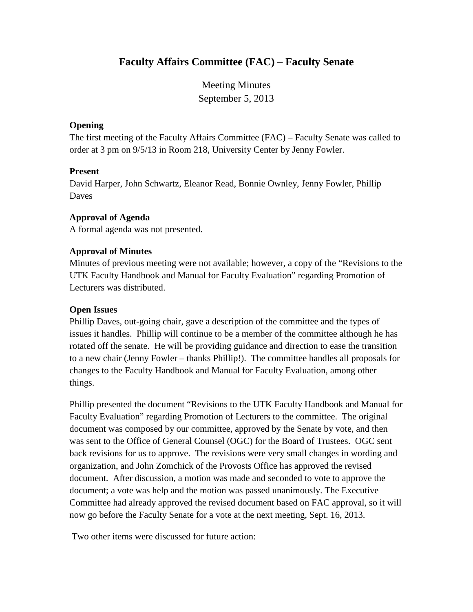# **Faculty Affairs Committee (FAC) – Faculty Senate**

Meeting Minutes September 5, 2013

#### **Opening**

The first meeting of the Faculty Affairs Committee (FAC) – Faculty Senate was called to order at 3 pm on 9/5/13 in Room 218, University Center by Jenny Fowler.

#### **Present**

David Harper, John Schwartz, Eleanor Read, Bonnie Ownley, Jenny Fowler, Phillip Daves

## **Approval of Agenda**

A formal agenda was not presented.

## **Approval of Minutes**

Minutes of previous meeting were not available; however, a copy of the "Revisions to the UTK Faculty Handbook and Manual for Faculty Evaluation" regarding Promotion of Lecturers was distributed.

#### **Open Issues**

Phillip Daves, out-going chair, gave a description of the committee and the types of issues it handles. Phillip will continue to be a member of the committee although he has rotated off the senate. He will be providing guidance and direction to ease the transition to a new chair (Jenny Fowler – thanks Phillip!). The committee handles all proposals for changes to the Faculty Handbook and Manual for Faculty Evaluation, among other things.

Phillip presented the document "Revisions to the UTK Faculty Handbook and Manual for Faculty Evaluation" regarding Promotion of Lecturers to the committee. The original document was composed by our committee, approved by the Senate by vote, and then was sent to the Office of General Counsel (OGC) for the Board of Trustees. OGC sent back revisions for us to approve. The revisions were very small changes in wording and organization, and John Zomchick of the Provosts Office has approved the revised document. After discussion, a motion was made and seconded to vote to approve the document; a vote was help and the motion was passed unanimously. The Executive Committee had already approved the revised document based on FAC approval, so it will now go before the Faculty Senate for a vote at the next meeting, Sept. 16, 2013.

Two other items were discussed for future action: